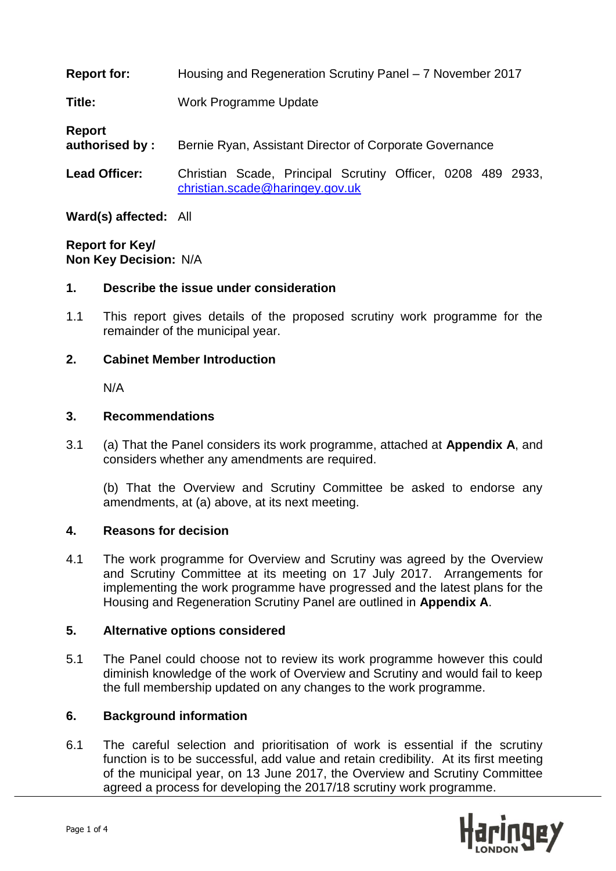| <b>Report for:</b>       | Housing and Regeneration Scrutiny Panel – 7 November 2017                                      |  |
|--------------------------|------------------------------------------------------------------------------------------------|--|
| <b>Title:</b>            | Work Programme Update                                                                          |  |
| Report<br>authorised by: | Bernie Ryan, Assistant Director of Corporate Governance                                        |  |
| <b>Lead Officer:</b>     | Christian Scade, Principal Scrutiny Officer, 0208 489 2933,<br>christian.scade@haringey.gov.uk |  |

**Ward(s) affected:** All

**Report for Key/ Non Key Decision:** N/A

### **1. Describe the issue under consideration**

1.1 This report gives details of the proposed scrutiny work programme for the remainder of the municipal year.

#### **2. Cabinet Member Introduction**

N/A

#### **3. Recommendations**

3.1 (a) That the Panel considers its work programme, attached at **Appendix A**, and considers whether any amendments are required.

(b) That the Overview and Scrutiny Committee be asked to endorse any amendments, at (a) above, at its next meeting.

### **4. Reasons for decision**

4.1 The work programme for Overview and Scrutiny was agreed by the Overview and Scrutiny Committee at its meeting on 17 July 2017. Arrangements for implementing the work programme have progressed and the latest plans for the Housing and Regeneration Scrutiny Panel are outlined in **Appendix A**.

### **5. Alternative options considered**

5.1 The Panel could choose not to review its work programme however this could diminish knowledge of the work of Overview and Scrutiny and would fail to keep the full membership updated on any changes to the work programme.

### **6. Background information**

6.1 The careful selection and prioritisation of work is essential if the scrutiny function is to be successful, add value and retain credibility. At its first meeting of the municipal year, on 13 June 2017, the Overview and Scrutiny Committee agreed a process for developing the 2017/18 scrutiny work programme.

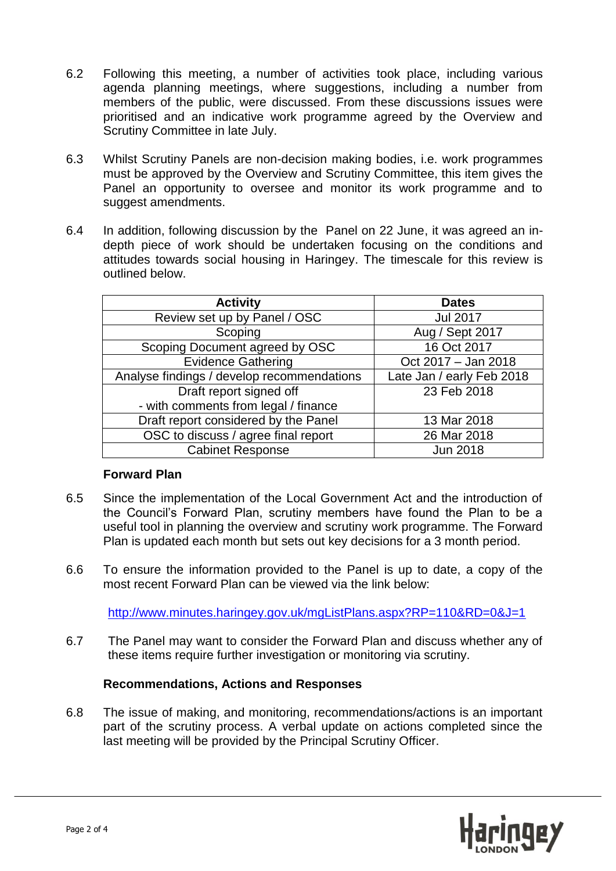- 6.2 Following this meeting, a number of activities took place, including various agenda planning meetings, where suggestions, including a number from members of the public, were discussed. From these discussions issues were prioritised and an indicative work programme agreed by the Overview and Scrutiny Committee in late July.
- 6.3 Whilst Scrutiny Panels are non-decision making bodies, i.e. work programmes must be approved by the Overview and Scrutiny Committee, this item gives the Panel an opportunity to oversee and monitor its work programme and to suggest amendments.
- 6.4 In addition, following discussion by the Panel on 22 June, it was agreed an indepth piece of work should be undertaken focusing on the conditions and attitudes towards social housing in Haringey. The timescale for this review is outlined below.

| <b>Activity</b>                            | <b>Dates</b>              |
|--------------------------------------------|---------------------------|
| Review set up by Panel / OSC               | <b>Jul 2017</b>           |
| Scoping                                    | Aug / Sept 2017           |
| Scoping Document agreed by OSC             | 16 Oct 2017               |
| <b>Evidence Gathering</b>                  | Oct 2017 - Jan 2018       |
| Analyse findings / develop recommendations | Late Jan / early Feb 2018 |
| Draft report signed off                    | 23 Feb 2018               |
| - with comments from legal / finance       |                           |
| Draft report considered by the Panel       | 13 Mar 2018               |
| OSC to discuss / agree final report        | 26 Mar 2018               |
| <b>Cabinet Response</b>                    | <b>Jun 2018</b>           |

### **Forward Plan**

- 6.5 Since the implementation of the Local Government Act and the introduction of the Council's Forward Plan, scrutiny members have found the Plan to be a useful tool in planning the overview and scrutiny work programme. The Forward Plan is updated each month but sets out key decisions for a 3 month period.
- 6.6 To ensure the information provided to the Panel is up to date, a copy of the most recent Forward Plan can be viewed via the link below:

<http://www.minutes.haringey.gov.uk/mgListPlans.aspx?RP=110&RD=0&J=1>

6.7 The Panel may want to consider the Forward Plan and discuss whether any of these items require further investigation or monitoring via scrutiny.

### **Recommendations, Actions and Responses**

6.8 The issue of making, and monitoring, recommendations/actions is an important part of the scrutiny process. A verbal update on actions completed since the last meeting will be provided by the Principal Scrutiny Officer.

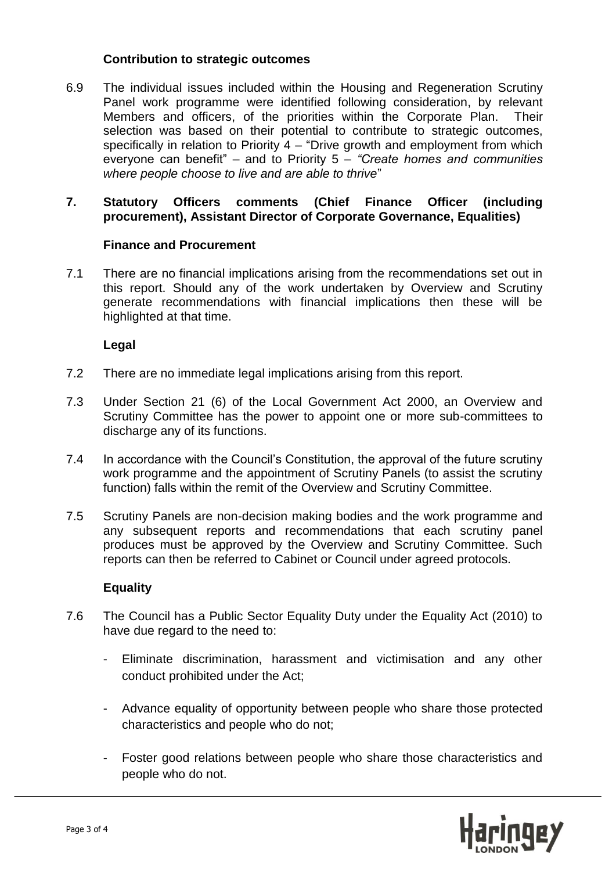#### **Contribution to strategic outcomes**

6.9 The individual issues included within the Housing and Regeneration Scrutiny Panel work programme were identified following consideration, by relevant Members and officers, of the priorities within the Corporate Plan. Their selection was based on their potential to contribute to strategic outcomes, specifically in relation to Priority 4 – "Drive growth and employment from which everyone can benefit" – and to Priority 5 – *"Create homes and communities where people choose to live and are able to thrive*"

### **7. Statutory Officers comments (Chief Finance Officer (including procurement), Assistant Director of Corporate Governance, Equalities)**

### **Finance and Procurement**

7.1 There are no financial implications arising from the recommendations set out in this report. Should any of the work undertaken by Overview and Scrutiny generate recommendations with financial implications then these will be highlighted at that time.

### **Legal**

- 7.2 There are no immediate legal implications arising from this report.
- 7.3 Under Section 21 (6) of the Local Government Act 2000, an Overview and Scrutiny Committee has the power to appoint one or more sub-committees to discharge any of its functions.
- 7.4 In accordance with the Council's Constitution, the approval of the future scrutiny work programme and the appointment of Scrutiny Panels (to assist the scrutiny function) falls within the remit of the Overview and Scrutiny Committee.
- 7.5 Scrutiny Panels are non-decision making bodies and the work programme and any subsequent reports and recommendations that each scrutiny panel produces must be approved by the Overview and Scrutiny Committee. Such reports can then be referred to Cabinet or Council under agreed protocols.

#### **Equality**

- 7.6 The Council has a Public Sector Equality Duty under the Equality Act (2010) to have due regard to the need to:
	- Eliminate discrimination, harassment and victimisation and any other conduct prohibited under the Act;
	- Advance equality of opportunity between people who share those protected characteristics and people who do not;
	- Foster good relations between people who share those characteristics and people who do not.